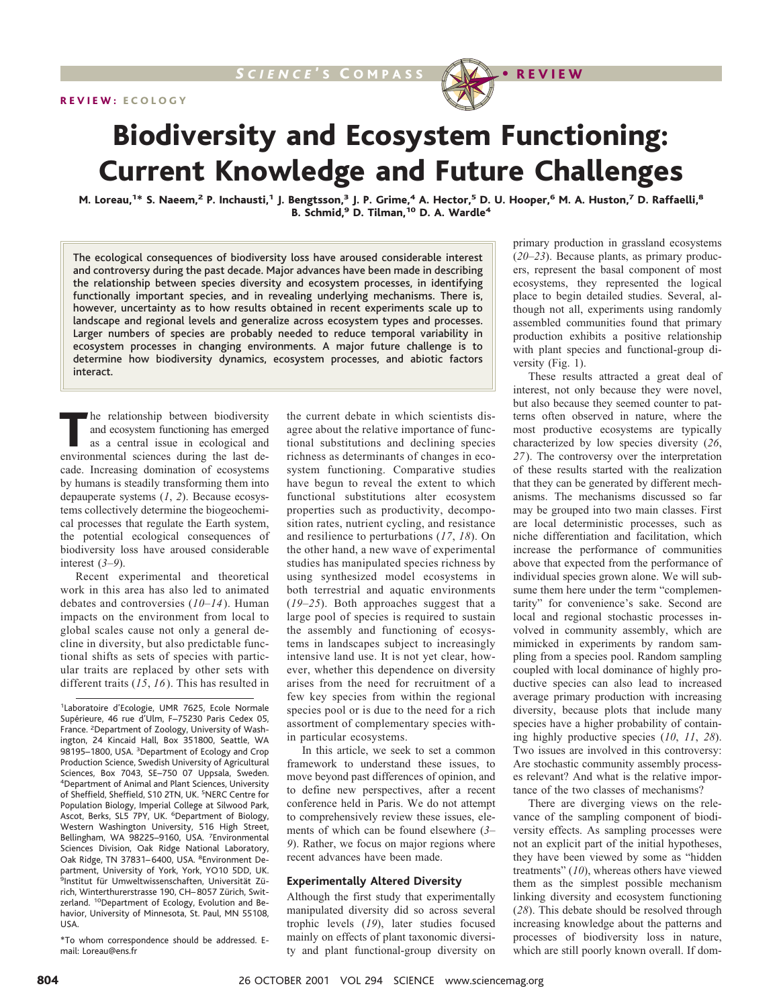



# Biodiversity and Ecosystem Functioning: Current Knowledge and Future Challenges

M. Loreau,<sup>1\*</sup> S. Naeem,<sup>2</sup> P. Inchausti,<sup>1</sup> J. Bengtsson,<sup>3</sup> J. P. Grime,<sup>4</sup> A. Hector,<sup>5</sup> D. U. Hooper,<sup>6</sup> M. A. Huston,<sup>7</sup> D. Raffaelli,<sup>8</sup> B. Schmid,<sup>9</sup> D. Tilman,<sup>10</sup> D. A. Wardle<sup>4</sup>

The ecological consequences of biodiversity loss have aroused considerable interest and controversy during the past decade. Major advances have been made in describing the relationship between species diversity and ecosystem processes, in identifying functionally important species, and in revealing underlying mechanisms. There is, however, uncertainty as to how results obtained in recent experiments scale up to landscape and regional levels and generalize across ecosystem types and processes. Larger numbers of species are probably needed to reduce temporal variability in ecosystem processes in changing environments. A major future challenge is to determine how biodiversity dynamics, ecosystem processes, and abiotic factors interact.

The relationship between biodiversity and ecosystem functioning has emerged as a central issue in ecological and environmental sciences during the last decade. Increasing domination of ecosystems by humans is steadily transforming them into depauperate systems (*1*, *2*). Because ecosystems collectively determine the biogeochemical processes that regulate the Earth system, the potential ecological consequences of biodiversity loss have aroused considerable interest (*3*–*9*).

Recent experimental and theoretical work in this area has also led to animated debates and controversies (*10*–*14*). Human impacts on the environment from local to global scales cause not only a general decline in diversity, but also predictable functional shifts as sets of species with particular traits are replaced by other sets with different traits (*15*, *16*). This has resulted in

\*To whom correspondence should be addressed. Email: Loreau@ens.fr

the current debate in which scientists disagree about the relative importance of functional substitutions and declining species richness as determinants of changes in ecosystem functioning. Comparative studies have begun to reveal the extent to which functional substitutions alter ecosystem properties such as productivity, decomposition rates, nutrient cycling, and resistance and resilience to perturbations (*17*, *18*). On the other hand, a new wave of experimental studies has manipulated species richness by using synthesized model ecosystems in both terrestrial and aquatic environments (*19*–*25*). Both approaches suggest that a large pool of species is required to sustain the assembly and functioning of ecosystems in landscapes subject to increasingly intensive land use. It is not yet clear, however, whether this dependence on diversity arises from the need for recruitment of a few key species from within the regional species pool or is due to the need for a rich assortment of complementary species within particular ecosystems.

In this article, we seek to set a common framework to understand these issues, to move beyond past differences of opinion, and to define new perspectives, after a recent conference held in Paris. We do not attempt to comprehensively review these issues, elements of which can be found elsewhere (*3*– *9*). Rather, we focus on major regions where recent advances have been made.

#### **Experimentally Altered Diversity**

Although the first study that experimentally manipulated diversity did so across several trophic levels (*19*), later studies focused mainly on effects of plant taxonomic diversity and plant functional-group diversity on primary production in grassland ecosystems (*20*–*23*). Because plants, as primary producers, represent the basal component of most ecosystems, they represented the logical place to begin detailed studies. Several, although not all, experiments using randomly assembled communities found that primary production exhibits a positive relationship with plant species and functional-group diversity (Fig. 1).

These results attracted a great deal of interest, not only because they were novel, but also because they seemed counter to patterns often observed in nature, where the most productive ecosystems are typically characterized by low species diversity (*26*, *27*). The controversy over the interpretation of these results started with the realization that they can be generated by different mechanisms. The mechanisms discussed so far may be grouped into two main classes. First are local deterministic processes, such as niche differentiation and facilitation, which increase the performance of communities above that expected from the performance of individual species grown alone. We will subsume them here under the term "complementarity" for convenience's sake. Second are local and regional stochastic processes involved in community assembly, which are mimicked in experiments by random sampling from a species pool. Random sampling coupled with local dominance of highly productive species can also lead to increased average primary production with increasing diversity, because plots that include many species have a higher probability of containing highly productive species (*10*, *11*, *28*). Two issues are involved in this controversy: Are stochastic community assembly processes relevant? And what is the relative importance of the two classes of mechanisms?

There are diverging views on the relevance of the sampling component of biodiversity effects. As sampling processes were not an explicit part of the initial hypotheses, they have been viewed by some as "hidden treatments" (*10*), whereas others have viewed them as the simplest possible mechanism linking diversity and ecosystem functioning (*28*). This debate should be resolved through increasing knowledge about the patterns and processes of biodiversity loss in nature, which are still poorly known overall. If dom-

<sup>&</sup>lt;sup>1</sup>Laboratoire d'Ecologie, UMR 7625, Ecole Normale Supérieure, 46 rue d'Ulm, F-75230 Paris Cedex 05, France. <sup>2</sup>Department of Zoology, University of Washington, 24 Kincaid Hall, Box 351800, Seattle, WA 98195-1800, USA. <sup>3</sup>Department of Ecology and Crop Production Science, Swedish University of Agricultural Sciences, Box 7043, SE-750 07 Uppsala, Sweden. 4 Department of Animal and Plant Sciences, University of Sheffield, Sheffield, S10 2TN, UK. <sup>5</sup>NERC Centre for Population Biology, Imperial College at Silwood Park, Ascot, Berks, SL5 7PY, UK. <sup>6</sup>Department of Biology, Western Washington University, 516 High Street, Bellingham, WA 98225-9160, USA. <sup>7</sup>Environmental Sciences Division, Oak Ridge National Laboratory, Oak Ridge, TN 37831-6400, USA. <sup>8</sup>Environment Department, University of York, York, YO10 5DD, UK. <sup>9</sup>Institut für Umweltwissenschaften, Universität Zürich, Winterthurerstrasse 190, CH-8057 Zürich, Switzerland. <sup>10</sup>Department of Ecology, Evolution and Behavior, University of Minnesota, St. Paul, MN 55108, USA.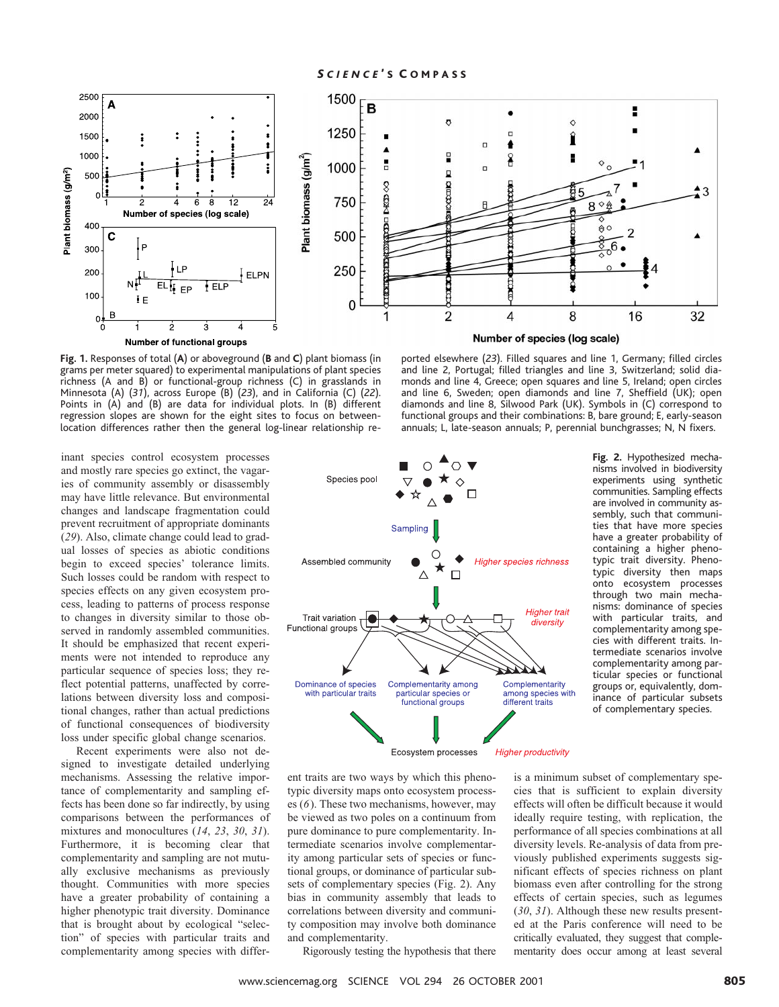

**Fig. 1.** Responses of total (**A**) or aboveground (**B** and **C**) plant biomass (in grams per meter squared) to experimental manipulations of plant species richness (A and B) or functional-group richness (C) in grasslands in Minnesota (A) (*31*), across Europe (B) (*23*), and in California (C) (*22*). Points in (A) and (B) are data for individual plots. In (B) different regression slopes are shown for the eight sites to focus on betweenlocation differences rather then the general log-linear relationship re-

inant species control ecosystem processes and mostly rare species go extinct, the vagaries of community assembly or disassembly may have little relevance. But environmental changes and landscape fragmentation could prevent recruitment of appropriate dominants (*29*). Also, climate change could lead to gradual losses of species as abiotic conditions begin to exceed species' tolerance limits. Such losses could be random with respect to species effects on any given ecosystem process, leading to patterns of process response to changes in diversity similar to those observed in randomly assembled communities. It should be emphasized that recent experiments were not intended to reproduce any particular sequence of species loss; they reflect potential patterns, unaffected by correlations between diversity loss and compositional changes, rather than actual predictions of functional consequences of biodiversity loss under specific global change scenarios.

Recent experiments were also not designed to investigate detailed underlying mechanisms. Assessing the relative importance of complementarity and sampling effects has been done so far indirectly, by using comparisons between the performances of mixtures and monocultures (*14*, *23*, *30*, *31*). Furthermore, it is becoming clear that complementarity and sampling are not mutually exclusive mechanisms as previously thought. Communities with more species have a greater probability of containing a higher phenotypic trait diversity. Dominance that is brought about by ecological "selection" of species with particular traits and complementarity among species with differ-

ported elsewhere (*23*). Filled squares and line 1, Germany; filled circles and line 2, Portugal; filled triangles and line 3, Switzerland; solid diamonds and line 4, Greece; open squares and line 5, Ireland; open circles and line 6, Sweden; open diamonds and line 7, Sheffield (UK); open diamonds and line 8, Silwood Park (UK). Symbols in (C) correspond to functional groups and their combinations: B, bare ground; E, early-season annuals; L, late-season annuals; P, perennial bunchgrasses; N, N fixers.



**Fig. 2.** Hypothesized mechanisms involved in biodiversity experiments using synthetic communities. Sampling effects are involved in community assembly, such that communities that have more species have a greater probability of containing a higher phenotypic trait diversity. Phenotypic diversity then maps onto ecosystem processes through two main mechanisms: dominance of species with particular traits, and complementarity among species with different traits. Intermediate scenarios involve complementarity among particular species or functional groups or, equivalently, dominance of particular subsets of complementary species.

ent traits are two ways by which this phenotypic diversity maps onto ecosystem processes (*6*). These two mechanisms, however, may be viewed as two poles on a continuum from pure dominance to pure complementarity. Intermediate scenarios involve complementarity among particular sets of species or functional groups, or dominance of particular subsets of complementary species (Fig. 2). Any bias in community assembly that leads to correlations between diversity and community composition may involve both dominance and complementarity.

is a minimum subset of complementary species that is sufficient to explain diversity effects will often be difficult because it would ideally require testing, with replication, the performance of all species combinations at all diversity levels. Re-analysis of data from previously published experiments suggests significant effects of species richness on plant biomass even after controlling for the strong effects of certain species, such as legumes (*30*, *31*). Although these new results presented at the Paris conference will need to be critically evaluated, they suggest that complementarity does occur among at least several

Rigorously testing the hypothesis that there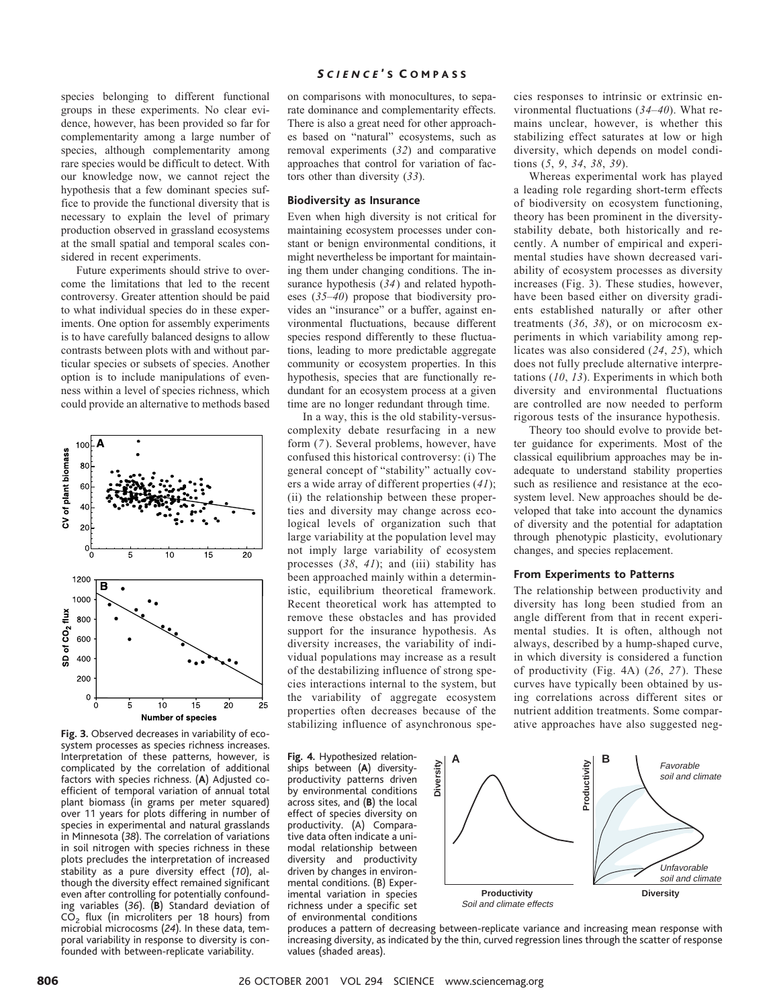species belonging to different functional groups in these experiments. No clear evidence, however, has been provided so far for complementarity among a large number of species, although complementarity among rare species would be difficult to detect. With our knowledge now, we cannot reject the hypothesis that a few dominant species suffice to provide the functional diversity that is necessary to explain the level of primary production observed in grassland ecosystems at the small spatial and temporal scales considered in recent experiments.

Future experiments should strive to overcome the limitations that led to the recent controversy. Greater attention should be paid to what individual species do in these experiments. One option for assembly experiments is to have carefully balanced designs to allow contrasts between plots with and without particular species or subsets of species. Another option is to include manipulations of evenness within a level of species richness, which could provide an alternative to methods based



system processes as species richness increases. Interpretation of these patterns, however, is complicated by the correlation of additional factors with species richness. (**A**) Adjusted coefficient of temporal variation of annual total plant biomass (in grams per meter squared) over 11 years for plots differing in number of species in experimental and natural grasslands in Minnesota (*38*). The correlation of variations in soil nitrogen with species richness in these plots precludes the interpretation of increased stability as a pure diversity effect (*10*), although the diversity effect remained significant even after controlling for potentially confounding variables (*36*). (**B**) Standard deviation of CO2 flux (in microliters per 18 hours) from microbial microcosms (*24*). In these data, temporal variability in response to diversity is con-

founded with between-replicate variability.

#### *S CIENCE* ' S C OMPASS

on comparisons with monocultures, to separate dominance and complementarity effects. There is also a great need for other approaches based on "natural" ecosystems, such as removal experiments (*32*) and comparative approaches that control for variation of factors other than diversity (*33*).

### **Biodiversity as Insurance**

Even when high diversity is not critical for maintaining ecosystem processes under constant or benign environmental conditions, it might nevertheless be important for maintaining them under changing conditions. The insurance hypothesis (*34*) and related hypotheses (*35*–*40*) propose that biodiversity provides an "insurance" or a buffer, against environmental fluctuations, because different species respond differently to these fluctuations, leading to more predictable aggregate community or ecosystem properties. In this hypothesis, species that are functionally redundant for an ecosystem process at a given time are no longer redundant through time.

In a way, this is the old stability-versuscomplexity debate resurfacing in a new form (*7*). Several problems, however, have confused this historical controversy: (i) The general concept of "stability" actually covers a wide array of different properties (*41*); (ii) the relationship between these properties and diversity may change across ecological levels of organization such that large variability at the population level may not imply large variability of ecosystem processes (*38*, *41*); and (iii) stability has been approached mainly within a deterministic, equilibrium theoretical framework. Recent theoretical work has attempted to remove these obstacles and has provided support for the insurance hypothesis. As diversity increases, the variability of individual populations may increase as a result of the destabilizing influence of strong species interactions internal to the system, but the variability of aggregate ecosystem properties often decreases because of the stabilizing influence of asynchronous speative mucroscope of species<br>ative approaches have also suggested neg-<br>**Fig. 3.** Observed decreases in variability of eco-<br>ative approaches have also suggested neg-

cies responses to intrinsic or extrinsic environmental fluctuations (*34*–*40*). What remains unclear, however, is whether this stabilizing effect saturates at low or high diversity, which depends on model conditions (*5*, *9*, *34*, *38*, *39*).

Whereas experimental work has played a leading role regarding short-term effects of biodiversity on ecosystem functioning, theory has been prominent in the diversitystability debate, both historically and recently. A number of empirical and experimental studies have shown decreased variability of ecosystem processes as diversity increases (Fig. 3). These studies, however, have been based either on diversity gradients established naturally or after other treatments (*36*, *38*), or on microcosm experiments in which variability among replicates was also considered (*24*, *25*), which does not fully preclude alternative interpretations (*10*, *13*). Experiments in which both diversity and environmental fluctuations are controlled are now needed to perform rigorous tests of the insurance hypothesis.

Theory too should evolve to provide better guidance for experiments. Most of the classical equilibrium approaches may be inadequate to understand stability properties such as resilience and resistance at the ecosystem level. New approaches should be developed that take into account the dynamics of diversity and the potential for adaptation through phenotypic plasticity, evolutionary changes, and species replacement.

#### **From Experiments to Patterns**

The relationship between productivity and diversity has long been studied from an angle different from that in recent experimental studies. It is often, although not always, described by a hump-shaped curve, in which diversity is considered a function of productivity (Fig. 4A) (*26*, *27*). These curves have typically been obtained by using correlations across different sites or nutrient addition treatments. Some compar-

ships between (**A**) diversityproductivity patterns driven by environmental conditions across sites, and (**B**) the local effect of species diversity on productivity. (A) Comparative data often indicate a unimodal relationship between diversity and productivity driven by changes in environmental conditions. (B) Experimental variation in species richness under a specific set of environmental conditions



produces a pattern of decreasing between-replicate variance and increasing mean response with increasing diversity, as indicated by the thin, curved regression lines through the scatter of response values (shaded areas).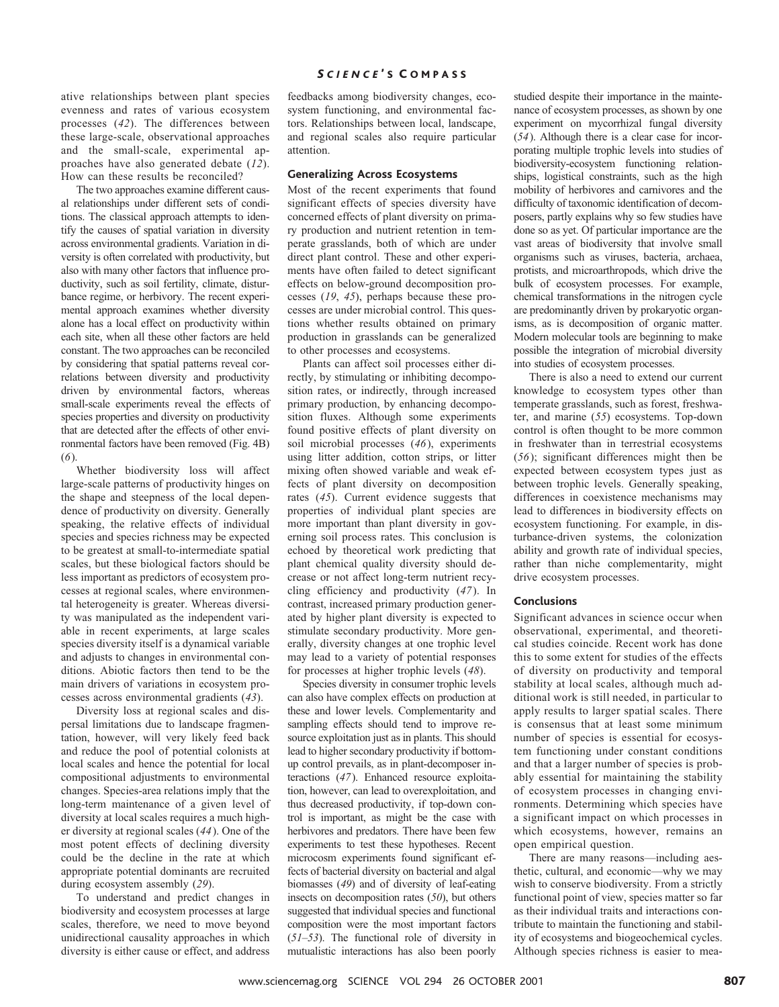### ative relationships between plant species evenness and rates of various ecosystem processes (*42*). The differences between these large-scale, observational approaches and the small-scale, experimental approaches have also generated debate (*12*). How can these results be reconciled?

The two approaches examine different causal relationships under different sets of conditions. The classical approach attempts to identify the causes of spatial variation in diversity across environmental gradients. Variation in diversity is often correlated with productivity, but also with many other factors that influence productivity, such as soil fertility, climate, disturbance regime, or herbivory. The recent experimental approach examines whether diversity alone has a local effect on productivity within each site, when all these other factors are held constant. The two approaches can be reconciled by considering that spatial patterns reveal correlations between diversity and productivity driven by environmental factors, whereas small-scale experiments reveal the effects of species properties and diversity on productivity that are detected after the effects of other environmental factors have been removed (Fig. 4B) (*6*).

Whether biodiversity loss will affect large-scale patterns of productivity hinges on the shape and steepness of the local dependence of productivity on diversity. Generally speaking, the relative effects of individual species and species richness may be expected to be greatest at small-to-intermediate spatial scales, but these biological factors should be less important as predictors of ecosystem processes at regional scales, where environmental heterogeneity is greater. Whereas diversity was manipulated as the independent variable in recent experiments, at large scales species diversity itself is a dynamical variable and adjusts to changes in environmental conditions. Abiotic factors then tend to be the main drivers of variations in ecosystem processes across environmental gradients (*43*).

Diversity loss at regional scales and dispersal limitations due to landscape fragmentation, however, will very likely feed back and reduce the pool of potential colonists at local scales and hence the potential for local compositional adjustments to environmental changes. Species-area relations imply that the long-term maintenance of a given level of diversity at local scales requires a much higher diversity at regional scales (*44*). One of the most potent effects of declining diversity could be the decline in the rate at which appropriate potential dominants are recruited during ecosystem assembly (*29*).

To understand and predict changes in biodiversity and ecosystem processes at large scales, therefore, we need to move beyond unidirectional causality approaches in which diversity is either cause or effect, and address

#### *S CIENCE* ' S C OMPASS

feedbacks among biodiversity changes, ecosystem functioning, and environmental factors. Relationships between local, landscape, and regional scales also require particular attention.

#### **Generalizing Across Ecosystems**

Most of the recent experiments that found significant effects of species diversity have concerned effects of plant diversity on primary production and nutrient retention in temperate grasslands, both of which are under direct plant control. These and other experiments have often failed to detect significant effects on below-ground decomposition processes (*19*, *45*), perhaps because these processes are under microbial control. This questions whether results obtained on primary production in grasslands can be generalized to other processes and ecosystems.

Plants can affect soil processes either directly, by stimulating or inhibiting decomposition rates, or indirectly, through increased primary production, by enhancing decomposition fluxes. Although some experiments found positive effects of plant diversity on soil microbial processes (*46*), experiments using litter addition, cotton strips, or litter mixing often showed variable and weak effects of plant diversity on decomposition rates (*45*). Current evidence suggests that properties of individual plant species are more important than plant diversity in governing soil process rates. This conclusion is echoed by theoretical work predicting that plant chemical quality diversity should decrease or not affect long-term nutrient recycling efficiency and productivity (*47*). In contrast, increased primary production generated by higher plant diversity is expected to stimulate secondary productivity. More generally, diversity changes at one trophic level may lead to a variety of potential responses for processes at higher trophic levels (*48*).

Species diversity in consumer trophic levels can also have complex effects on production at these and lower levels. Complementarity and sampling effects should tend to improve resource exploitation just as in plants. This should lead to higher secondary productivity if bottomup control prevails, as in plant-decomposer interactions (*47*). Enhanced resource exploitation, however, can lead to overexploitation, and thus decreased productivity, if top-down control is important, as might be the case with herbivores and predators. There have been few experiments to test these hypotheses. Recent microcosm experiments found significant effects of bacterial diversity on bacterial and algal biomasses (*49*) and of diversity of leaf-eating insects on decomposition rates (*50*), but others suggested that individual species and functional composition were the most important factors (*51*–*53*). The functional role of diversity in mutualistic interactions has also been poorly

studied despite their importance in the maintenance of ecosystem processes, as shown by one experiment on mycorrhizal fungal diversity (*54*). Although there is a clear case for incorporating multiple trophic levels into studies of biodiversity-ecosystem functioning relationships, logistical constraints, such as the high mobility of herbivores and carnivores and the difficulty of taxonomic identification of decomposers, partly explains why so few studies have done so as yet. Of particular importance are the vast areas of biodiversity that involve small organisms such as viruses, bacteria, archaea, protists, and microarthropods, which drive the bulk of ecosystem processes. For example, chemical transformations in the nitrogen cycle are predominantly driven by prokaryotic organisms, as is decomposition of organic matter. Modern molecular tools are beginning to make possible the integration of microbial diversity into studies of ecosystem processes.

There is also a need to extend our current knowledge to ecosystem types other than temperate grasslands, such as forest, freshwater, and marine (*55*) ecosystems. Top-down control is often thought to be more common in freshwater than in terrestrial ecosystems (*56*); significant differences might then be expected between ecosystem types just as between trophic levels. Generally speaking, differences in coexistence mechanisms may lead to differences in biodiversity effects on ecosystem functioning. For example, in disturbance-driven systems, the colonization ability and growth rate of individual species, rather than niche complementarity, might drive ecosystem processes.

# **Conclusions**

Significant advances in science occur when observational, experimental, and theoretical studies coincide. Recent work has done this to some extent for studies of the effects of diversity on productivity and temporal stability at local scales, although much additional work is still needed, in particular to apply results to larger spatial scales. There is consensus that at least some minimum number of species is essential for ecosystem functioning under constant conditions and that a larger number of species is probably essential for maintaining the stability of ecosystem processes in changing environments. Determining which species have a significant impact on which processes in which ecosystems, however, remains an open empirical question.

There are many reasons—including aesthetic, cultural, and economic—why we may wish to conserve biodiversity. From a strictly functional point of view, species matter so far as their individual traits and interactions contribute to maintain the functioning and stability of ecosystems and biogeochemical cycles. Although species richness is easier to mea-